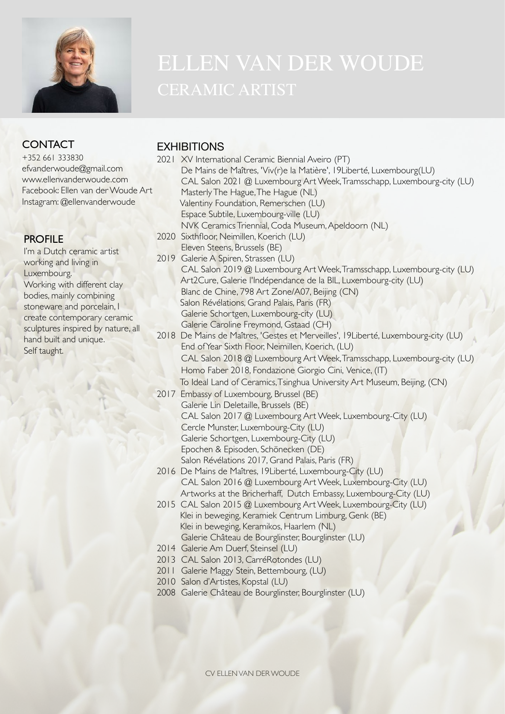

# **CONTACT**

+352 661 333830 efvanderwoude@gmail.com [www.ellenvanderwoude.com](http://www.ellenvanderwoude.com) Facebook: Ellen van der Woude Art Instagram: [@ellenvanderwoude](http://www.ellenvanderwoude.com)

## **PROFILE**

I'm a Dutch ceramic artist working and living in Luxembourg. Working with different clay bodies, mainly combining stoneware and porcelain, I create contemporary ceramic sculptures inspired by nature, all hand built and unique. Self taught.

## **FXHIBITIONS**

- 2021 XV International Ceramic Biennial Aveiro (PT) De Mains de Maîtres, 'Viv(r)e la Matière', 19Liberté, Luxembourg(LU) CAL Salon 2021 @ Luxembourg Art Week, Tramsschapp, Luxembourg-city (LU) Masterly The Hague, The Hague (NL) Valentiny Foundation, Remerschen (LU) Espace Subtile, Luxembourg-ville (LU) NVK Ceramics Triennial, Coda Museum, Apeldoorn (NL) 2020 Sixthfloor, Neimillen, Koerich (LU) Eleven Steens, Brussels (BE) 2019 Galerie A Spiren, Strassen (LU) CAL Salon 2019 @ Luxembourg Art Week, Tramsschapp, Luxembourg-city (LU) Art2Cure, Galerie l'Indépendance de la BIL, Luxembourg-city (LU) Blanc de Chine, 798 Art Zone/A07, Beijing (CN) Salon Révélations, Grand Palais, Paris (FR) Galerie Schortgen, Luxembourg-city (LU) Galerie Caroline Freymond, Gstaad (CH) 2018 De Mains de Maîtres, 'Gestes et Merveilles', 19Liberté, Luxembourg-city (LU) End of Year Sixth Floor, Neimillen, Koerich, (LU) CAL Salon 2018 @ Luxembourg Art Week, Tramsschapp, Luxembourg-city (LU) Homo Faber 2018, Fondazione Giorgio Cini, Venice, (IT) To Ideal Land of Ceramics, Tsinghua University Art Museum, Beijing, (CN) 2017 Embassy of Luxembourg, Brussel (BE) Galerie Lin Deletaille, Brussels (BE) CAL Salon 2017 @ Luxembourg Art Week, Luxembourg-City (LU) Cercle Munster, Luxembourg-City (LU) Galerie Schortgen, Luxembourg-City (LU) Epochen & Episoden, Schönecken (DE) Salon Révélations 2017, Grand Palais, Paris (FR) 2016 De Mains de Maîtres, 19Liberté, Luxembourg-City (LU) CAL Salon 2016 @ Luxembourg Art Week, Luxembourg-City (LU)
	- Artworks at the Bricherhaff, Dutch Embassy, Luxembourg-City (LU)
- 2015 CAL Salon 2015 @ Luxembourg Art Week, Luxembourg-City (LU) Klei in beweging, Keramiek Centrum Limburg, Genk (BE) Klei in beweging, Keramikos, Haarlem (NL) Galerie Château de Bourglinster, Bourglinster (LU)
- 2014 Galerie Am Duerf, Steinsel (LU)
- 2013 CAL Salon 2013, CarréRotondes (LU)
- 2011 Galerie Maggy Stein, Bettembourg, (LU)
- 2010 Salon d'Artistes, Kopstal (LU)
- 2008 Galerie Château de Bourglinster, Bourglinster (LU)

CV ELLEN VAN DER WOUDE